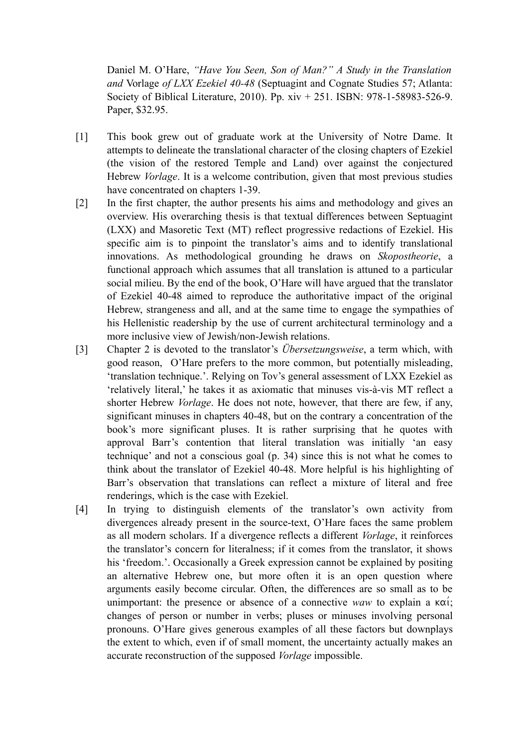Daniel M. O'Hare, *"Have You Seen, Son of Man?" A Study in the Translation and* Vorlage *of LXX Ezekiel 40-48* (Septuagint and Cognate Studies 57; Atlanta: Society of Biblical Literature, 2010). Pp. xiv + 251. ISBN: 978-1-58983-526-9. Paper, \$32.95.

- [1] This book grew out of graduate work at the University of Notre Dame. It attempts to delineate the translational character of the closing chapters of Ezekiel (the vision of the restored Temple and Land) over against the conjectured Hebrew *Vorlage*. It is a welcome contribution, given that most previous studies have concentrated on chapters 1-39.
- [2] In the first chapter, the author presents his aims and methodology and gives an overview. His overarching thesis is that textual differences between Septuagint (LXX) and Masoretic Text (MT) reflect progressive redactions of Ezekiel. His specific aim is to pinpoint the translator's aims and to identify translational innovations. As methodological grounding he draws on *Skopostheorie*, a functional approach which assumes that all translation is attuned to a particular social milieu. By the end of the book, O'Hare will have argued that the translator of Ezekiel 40-48 aimed to reproduce the authoritative impact of the original Hebrew, strangeness and all, and at the same time to engage the sympathies of his Hellenistic readership by the use of current architectural terminology and a more inclusive view of Jewish/non-Jewish relations.
- [3] Chapter 2 is devoted to the translator's *Übersetzungsweise*, a term which, with good reason, O'Hare prefers to the more common, but potentially misleading, 'translation technique.'. Relying on Tov's general assessment of LXX Ezekiel as 'relatively literal,' he takes it as axiomatic that minuses vis-à-vis MT reflect a shorter Hebrew *Vorlage*. He does not note, however, that there are few, if any, significant minuses in chapters 40-48, but on the contrary a concentration of the book's more significant pluses. It is rather surprising that he quotes with approval Barr's contention that literal translation was initially 'an easy technique' and not a conscious goal (p. 34) since this is not what he comes to think about the translator of Ezekiel 40-48. More helpful is his highlighting of Barr's observation that translations can reflect a mixture of literal and free renderings, which is the case with Ezekiel.
- [4] In trying to distinguish elements of the translator's own activity from divergences already present in the source-text, O'Hare faces the same problem as all modern scholars. If a divergence reflects a different *Vorlage*, it reinforces the translator's concern for literalness; if it comes from the translator, it shows his 'freedom.'. Occasionally a Greek expression cannot be explained by positing an alternative Hebrew one, but more often it is an open question where arguments easily become circular. Often, the differences are so small as to be unimportant: the presence or absence of a connective *waw* to explain a  $\kappa \alpha'$ ; changes of person or number in verbs; pluses or minuses involving personal pronouns. O'Hare gives generous examples of all these factors but downplays the extent to which, even if of small moment, the uncertainty actually makes an accurate reconstruction of the supposed *Vorlage* impossible.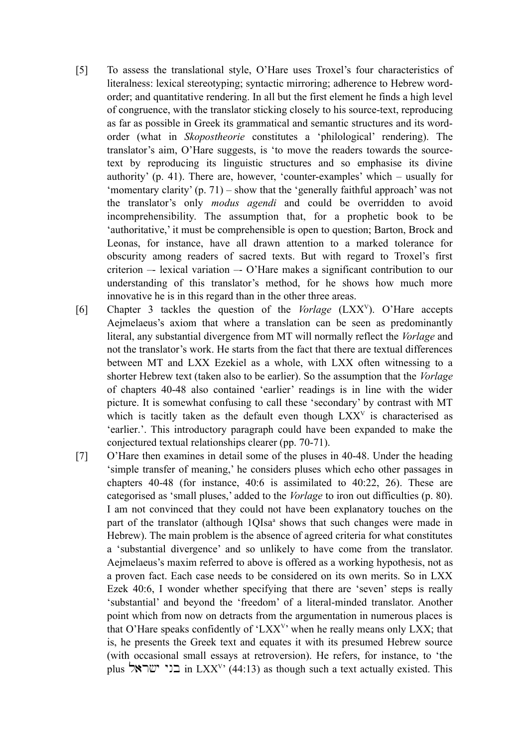- [5] To assess the translational style, O'Hare uses Troxel's four characteristics of literalness: lexical stereotyping; syntactic mirroring; adherence to Hebrew wordorder; and quantitative rendering. In all but the first element he finds a high level of congruence, with the translator sticking closely to his source-text, reproducing as far as possible in Greek its grammatical and semantic structures and its wordorder (what in *Skopostheorie* constitutes a 'philological' rendering). The translator's aim, O'Hare suggests, is 'to move the readers towards the sourcetext by reproducing its linguistic structures and so emphasise its divine authority' (p. 41). There are, however, 'counter-examples' which – usually for 'momentary clarity' (p. 71) – show that the 'generally faithful approach' was not the translator's only *modus agendi* and could be overridden to avoid incomprehensibility. The assumption that, for a prophetic book to be 'authoritative,' it must be comprehensible is open to question; Barton, Brock and Leonas, for instance, have all drawn attention to a marked tolerance for obscurity among readers of sacred texts. But with regard to Troxel's first criterion –- lexical variation –- O'Hare makes a significant contribution to our understanding of this translator's method, for he shows how much more innovative he is in this regard than in the other three areas.
- [6] Chapter 3 tackles the question of the *Vorlage* (LXXV). O'Hare accepts Aejmelaeus's axiom that where a translation can be seen as predominantly literal, any substantial divergence from MT will normally reflect the *Vorlage* and not the translator's work. He starts from the fact that there are textual differences between MT and LXX Ezekiel as a whole, with LXX often witnessing to a shorter Hebrew text (taken also to be earlier). So the assumption that the *Vorlage* of chapters 40-48 also contained 'earlier' readings is in line with the wider picture. It is somewhat confusing to call these 'secondary' by contrast with MT which is tacitly taken as the default even though  $LXX<sup>V</sup>$  is characterised as 'earlier.'. This introductory paragraph could have been expanded to make the conjectured textual relationships clearer (pp. 70-71).
- [7] O'Hare then examines in detail some of the pluses in 40-48. Under the heading 'simple transfer of meaning,' he considers pluses which echo other passages in chapters 40-48 (for instance, 40:6 is assimilated to 40:22, 26). These are categorised as 'small pluses,' added to the *Vorlage* to iron out difficulties (p. 80). I am not convinced that they could not have been explanatory touches on the part of the translator (although 1QIsa<sup>ª</sup> shows that such changes were made in Hebrew). The main problem is the absence of agreed criteria for what constitutes a 'substantial divergence' and so unlikely to have come from the translator. Aejmelaeus's maxim referred to above is offered as a working hypothesis, not as a proven fact. Each case needs to be considered on its own merits. So in LXX Ezek 40:6, I wonder whether specifying that there are 'seven' steps is really 'substantial' and beyond the 'freedom' of a literal-minded translator. Another point which from now on detracts from the argumentation in numerous places is that O'Hare speaks confidently of 'LXX<sup>V</sup>' when he really means only LXX; that is, he presents the Greek text and equates it with its presumed Hebrew source (with occasional small essays at retroversion). He refers, for instance, to 'the plus בני ישראל in LXX<sup>V</sup>' (44:13) as though such a text actually existed. This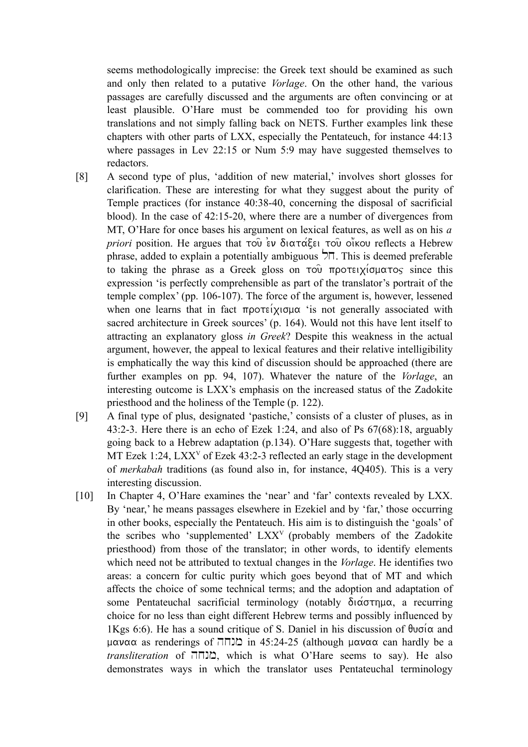seems methodologically imprecise: the Greek text should be examined as such and only then related to a putative *Vorlage*. On the other hand, the various passages are carefully discussed and the arguments are often convincing or at least plausible. O'Hare must be commended too for providing his own translations and not simply falling back on NETS. Further examples link these chapters with other parts of LXX, especially the Pentateuch, for instance 44:13 where passages in Lev 22:15 or Num 5:9 may have suggested themselves to redactors.

- [8] A second type of plus, 'addition of new material,' involves short glosses for clarification. These are interesting for what they suggest about the purity of Temple practices (for instance 40:38-40, concerning the disposal of sacrificial blood). In the case of 42:15-20, where there are a number of divergences from MT, O'Hare for once bases his argument on lexical features, as well as on his *a priori* position. He argues that  $\tau$ ου έν διατάξει του οίκου reflects a Hebrew phrase, added to explain a potentially ambiguous  $\overline{\triangleright}$ . This is deemed preferable to taking the phrase as a Greek gloss on  $\tau \circ \hat{v}$  προτειχίσματος since this expression 'is perfectly comprehensible as part of the translator's portrait of the temple complex' (pp. 106-107). The force of the argument is, however, lessened when one learns that in fact  $\pi \rho \sigma \tau \epsilon$  (xis not generally associated with sacred architecture in Greek sources' (p. 164). Would not this have lent itself to attracting an explanatory gloss *in Greek*? Despite this weakness in the actual argument, however, the appeal to lexical features and their relative intelligibility is emphatically the way this kind of discussion should be approached (there are further examples on pp. 94, 107). Whatever the nature of the *Vorlage*, an interesting outcome is LXX's emphasis on the increased status of the Zadokite priesthood and the holiness of the Temple (p. 122).
- [9] A final type of plus, designated 'pastiche,' consists of a cluster of pluses, as in 43:2-3. Here there is an echo of Ezek 1:24, and also of Ps 67(68):18, arguably going back to a Hebrew adaptation (p.134). O'Hare suggests that, together with MT Ezek 1:24, LXX<sup>V</sup> of Ezek 43:2-3 reflected an early stage in the development of *merkabah* traditions (as found also in, for instance, 4Q405). This is a very interesting discussion.
- [10] In Chapter 4, O'Hare examines the 'near' and 'far' contexts revealed by LXX. By 'near,' he means passages elsewhere in Ezekiel and by 'far,' those occurring in other books, especially the Pentateuch. His aim is to distinguish the 'goals' of the scribes who 'supplemented' LXXV (probably members of the Zadokite priesthood) from those of the translator; in other words, to identify elements which need not be attributed to textual changes in the *Vorlage*. He identifies two areas: a concern for cultic purity which goes beyond that of MT and which affects the choice of some technical terms; and the adoption and adaptation of some Pentateuchal sacrificial terminology (notably  $\delta_1 \alpha \sigma \tau \eta \mu \alpha$ , a recurring choice for no less than eight different Hebrew terms and possibly influenced by 1Kgs 6:6). He has a sound critique of S. Daniel in his discussion of  $\theta$ u $\sigma$ ( $\alpha$  and  $\mu$ αναα as renderings of  $\Pi$ Π) in 45:24-25 (although  $\mu$ αναα can hardly be a *transliteration* of hxnm, which is what O'Hare seems to say). He also demonstrates ways in which the translator uses Pentateuchal terminology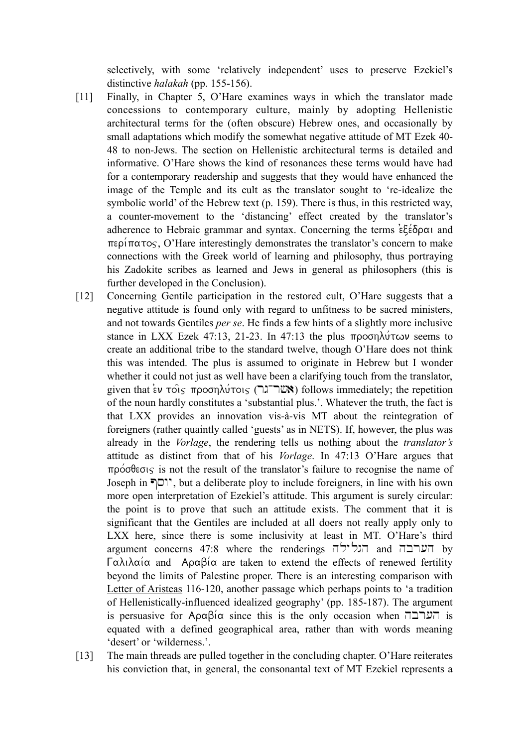selectively, with some 'relatively independent' uses to preserve Ezekiel's distinctive *halakah* (pp. 155-156).

- [11] Finally, in Chapter 5, O'Hare examines ways in which the translator made concessions to contemporary culture, mainly by adopting Hellenistic architectural terms for the (often obscure) Hebrew ones, and occasionally by small adaptations which modify the somewhat negative attitude of MT Ezek 40- 48 to non-Jews. The section on Hellenistic architectural terms is detailed and informative. O'Hare shows the kind of resonances these terms would have had for a contemporary readership and suggests that they would have enhanced the image of the Temple and its cult as the translator sought to 're-idealize the symbolic world' of the Hebrew text (p. 159). There is thus, in this restricted way, a counter-movement to the 'distancing' effect created by the translator's adherence to Hebraic grammar and syntax. Concerning the terms  $\epsilon \xi \epsilon \delta \rho \alpha$  and  $\pi \epsilon \rho' \pi \alpha \tau \sigma$ , O'Hare interestingly demonstrates the translator's concern to make connections with the Greek world of learning and philosophy, thus portraying his Zadokite scribes as learned and Jews in general as philosophers (this is further developed in the Conclusion).
- [12] Concerning Gentile participation in the restored cult, O'Hare suggests that a negative attitude is found only with regard to unfitness to be sacred ministers, and not towards Gentiles *per se*. He finds a few hints of a slightly more inclusive stance in LXX Ezek 47:13, 21-23. In 47:13 the plus  $\pi \rho$ oon $\lambda \nu$  seems to create an additional tribe to the standard twelve, though O'Hare does not think this was intended. The plus is assumed to originate in Hebrew but I wonder whether it could not just as well have been a clarifying touch from the translator, given that  $\epsilon v$   $\tau$  $\circ$  $\epsilon$ ,  $\tau$  $\rho$  $\circ$  $\sigma \rho \lambda \nu \tau \circ \iota$  (*really)* follows immediately; the repetition of the noun hardly constitutes a 'substantial plus.'. Whatever the truth, the fact is that LXX provides an innovation vis-à-vis MT about the reintegration of foreigners (rather quaintly called 'guests' as in NETS). If, however, the plus was already in the *Vorlage*, the rendering tells us nothing about the *translator's* attitude as distinct from that of his *Vorlage*. In 47:13 O'Hare argues that  $\pi\rho\acute{o}$  $\sigma\beta$  $\epsilon\sigma\varsigma$  is not the result of the translator's failure to recognise the name of Joseph in Pswy, but a deliberate ploy to include foreigners, in line with his own more open interpretation of Ezekiel's attitude. This argument is surely circular: the point is to prove that such an attitude exists. The comment that it is significant that the Gentiles are included at all doers not really apply only to LXX here, since there is some inclusivity at least in MT. O'Hare's third argument concerns 47:8 where the renderings הגלילה and hy  $\Gamma \alpha \lambda_1 \lambda_2 \alpha_1 \alpha_2$  and  $\Delta \rho \alpha_2 \beta_1 \alpha_3$  are taken to extend the effects of renewed fertility beyond the limits of Palestine proper. There is an interesting comparison with Letter of Aristeas 116-120, another passage which perhaps points to 'a tradition of Hellenistically-influenced idealized geography' (pp. 185-187). The argument is persuasive for  $A \rho \alpha \beta i \alpha$  since this is the only occasion when  $\Box \Box \Box$  is equated with a defined geographical area, rather than with words meaning 'desert' or 'wilderness.'.
- [13] The main threads are pulled together in the concluding chapter. O'Hare reiterates his conviction that, in general, the consonantal text of MT Ezekiel represents a